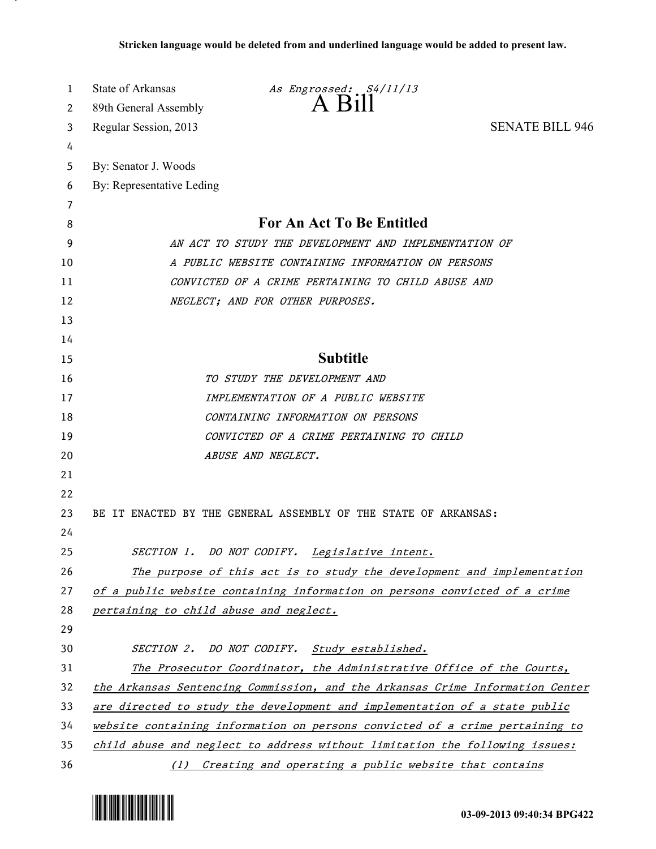| 1        | State of Arkansas<br>As Engrossed: S4/11/13                                   |  |
|----------|-------------------------------------------------------------------------------|--|
| 2        | 89th General Assembly                                                         |  |
| 3        | <b>SENATE BILL 946</b><br>Regular Session, 2013                               |  |
| 4        |                                                                               |  |
| 5        | By: Senator J. Woods                                                          |  |
| 6        | By: Representative Leding                                                     |  |
| 7        |                                                                               |  |
| 8        | For An Act To Be Entitled                                                     |  |
| 9        | AN ACT TO STUDY THE DEVELOPMENT AND IMPLEMENTATION OF                         |  |
| 10       | A PUBLIC WEBSITE CONTAINING INFORMATION ON PERSONS                            |  |
| 11       | CONVICTED OF A CRIME PERTAINING TO CHILD ABUSE AND                            |  |
| 12       | NEGLECT; AND FOR OTHER PURPOSES.                                              |  |
| 13       |                                                                               |  |
| 14       | <b>Subtitle</b>                                                               |  |
| 15       |                                                                               |  |
| 16       | TO STUDY THE DEVELOPMENT AND                                                  |  |
| 17       | IMPLEMENTATION OF A PUBLIC WEBSITE                                            |  |
| 18       | CONTAINING INFORMATION ON PERSONS                                             |  |
| 19       | CONVICTED OF A CRIME PERTAINING TO CHILD                                      |  |
| 20       | ABUSE AND NEGLECT.                                                            |  |
| 21       |                                                                               |  |
| 22<br>23 | BE IT ENACTED BY THE GENERAL ASSEMBLY OF THE STATE OF ARKANSAS:               |  |
| 24       |                                                                               |  |
| 25       | SECTION 1. DO NOT CODIFY.<br>Legislative intent.                              |  |
| 26       | The purpose of this act is to study the development and implementation        |  |
| 27       | of a public website containing information on persons convicted of a crime    |  |
| 28       | pertaining to child abuse and neglect.                                        |  |
| 29       |                                                                               |  |
| 30       | SECTION 2. DO NOT CODIFY. Study established.                                  |  |
| 31       | The Prosecutor Coordinator, the Administrative Office of the Courts,          |  |
| 32       | the Arkansas Sentencing Commission, and the Arkansas Crime Information Center |  |
| 33       | are directed to study the development and implementation of a state public    |  |
| 34       | website containing information on persons convicted of a crime pertaining to  |  |
| 35       | child abuse and neglect to address without limitation the following issues:   |  |
| 36       | Creating and operating a public website that contains<br>(1)                  |  |



.